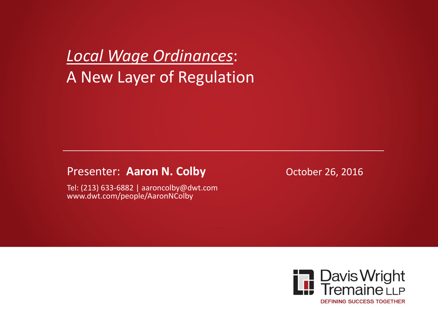*Local Wage Ordinances*: A New Layer of Regulation

#### Presenter: Aaron N. Colby **Collection Controllect 26, 2016**

Tel: (213) 633-6882 | aaroncolby@dwt.com www.dwt.com/people/AaronNColby

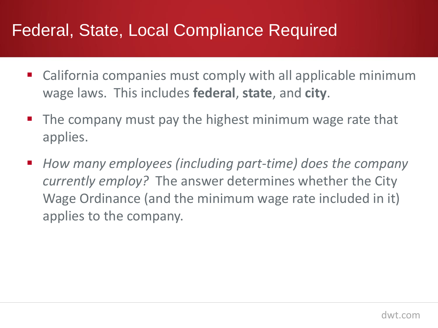#### Federal, State, Local Compliance Required

- California companies must comply with all applicable minimum wage laws. This includes **federal**, **state**, and **city**.
- $\blacksquare$  The company must pay the highest minimum wage rate that applies.
- *How many employees (including part-time) does the company currently employ?* The answer determines whether the City Wage Ordinance (and the minimum wage rate included in it) applies to the company.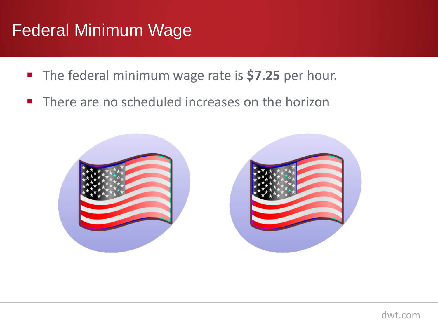## Federal Minimum Wage

- **The federal minimum wage rate is \$7.25 per hour.**
- **There are no scheduled increases on the horizon**

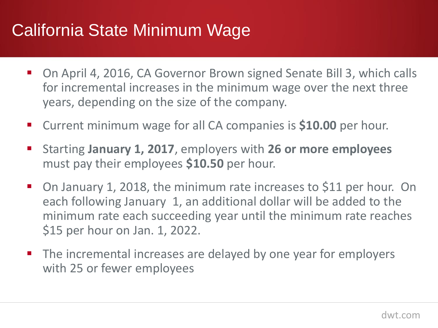#### California State Minimum Wage

- On April 4, 2016, CA Governor Brown signed Senate Bill 3, which calls for incremental increases in the minimum wage over the next three years, depending on the size of the company.
- Current minimum wage for all CA companies is **\$10.00** per hour.
- Starting **January 1, 2017**, employers with **26 or more employees** must pay their employees **\$10.50** per hour.
- On January 1, 2018, the minimum rate increases to \$11 per hour. On each following January 1, an additional dollar will be added to the minimum rate each succeeding year until the minimum rate reaches \$15 per hour on Jan. 1, 2022.
- The incremental increases are delayed by one year for employers with 25 or fewer employees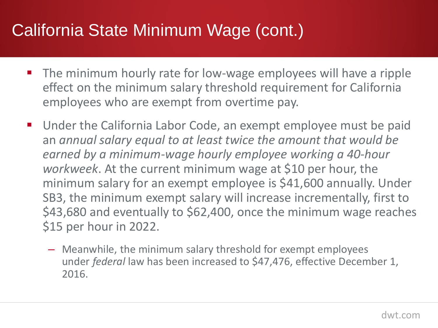## California State Minimum Wage (cont.)

- The minimum hourly rate for low-wage employees will have a ripple effect on the minimum salary threshold requirement for California employees who are exempt from overtime pay.
- Under the California Labor Code, an exempt employee must be paid an *annual salary equal to at least twice the amount that would be earned by a minimum-wage hourly employee working a 40-hour workweek*. At the current minimum wage at \$10 per hour, the minimum salary for an exempt employee is \$41,600 annually. Under SB3, the minimum exempt salary will increase incrementally, first to \$43,680 and eventually to \$62,400, once the minimum wage reaches \$15 per hour in 2022.
	- Meanwhile, the minimum salary threshold for exempt employees under *federal* law has been increased to \$47,476, effective December 1, 2016.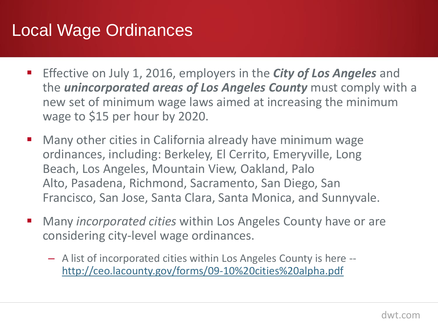#### Local Wage Ordinances

- **Effective on July 1, 2016, employers in the** *City of Los Angeles* and the *unincorporated areas of Los Angeles County* must comply with a new set of minimum wage laws aimed at increasing the minimum wage to \$15 per hour by 2020.
- Many other cities in California already have minimum wage ordinances, including: Berkeley, El Cerrito, Emeryville, Long Beach, Los Angeles, Mountain View, Oakland, Palo Alto, Pasadena, Richmond, Sacramento, San Diego, San Francisco, San Jose, Santa Clara, Santa Monica, and Sunnyvale.
- Many *incorporated cities* within Los Angeles County have or are considering city-level wage ordinances.
	- A list of incorporated cities within Los Angeles County is here [http://ceo.lacounty.gov/forms/09-10%20cities%20alpha.pdf](http://ceo.lacounty.gov/forms/09-10 cities alpha.pdf)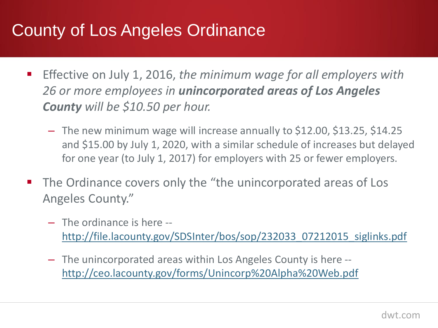# County of Los Angeles Ordinance

- Effective on July 1, 2016, *the minimum wage for all employers with 26 or more employees in unincorporated areas of Los Angeles County will be \$10.50 per hour.*
	- The new minimum wage will increase annually to \$12.00, \$13.25, \$14.25 and \$15.00 by July 1, 2020, with a similar schedule of increases but delayed for one year (to July 1, 2017) for employers with 25 or fewer employers.
- The Ordinance covers only the "the unincorporated areas of Los Angeles County."
	- The ordinance is here [http://file.lacounty.gov/SDSInter/bos/sop/232033\\_07212015\\_siglinks.pdf](http://file.lacounty.gov/SDSInter/bos/sop/232033_07212015_siglinks.pdf)
	- The unincorporated areas within Los Angeles County is here [http://ceo.lacounty.gov/forms/Unincorp%20Alpha%20Web.pdf](http://ceo.lacounty.gov/forms/Unincorp Alpha Web.pdf)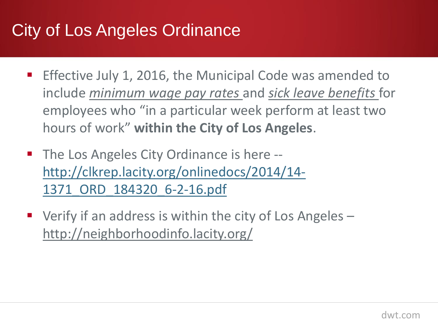# City of Los Angeles Ordinance

- **Effective July 1, 2016, the Municipal Code was amended to** include *minimum wage pay rates* and *sick leave benefits* for employees who "in a particular week perform at least two hours of work" **within the City of Los Angeles**.
- The Los Angeles City Ordinance is here -[http://clkrep.lacity.org/onlinedocs/2014/14-](http://clkrep.lacity.org/onlinedocs/2014/14-1371_ORD_184320_6-2-16.pdf) [1371\\_ORD\\_184320\\_6-2-16.pdf](http://clkrep.lacity.org/onlinedocs/2014/14-1371_ORD_184320_6-2-16.pdf)
- $\blacksquare$  Verify if an address is within the city of Los Angeles  $\blacksquare$ http://neighborhoodinfo.lacity.org/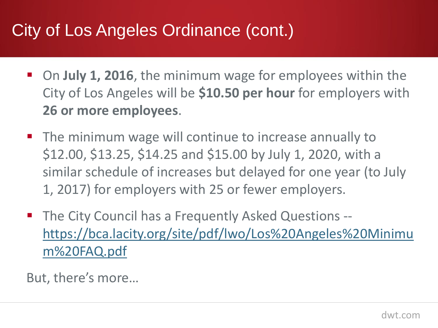## City of Los Angeles Ordinance (cont.)

- On **July 1, 2016**, the minimum wage for employees within the City of Los Angeles will be **\$10.50 per hour** for employers with **26 or more employees**.
- **The minimum wage will continue to increase annually to** \$12.00, \$13.25, \$14.25 and \$15.00 by July 1, 2020, with a similar schedule of increases but delayed for one year (to July 1, 2017) for employers with 25 or fewer employers.
- **The City Council has a Frequently Asked Questions -**[https://bca.lacity.org/site/pdf/lwo/Los%20Angeles%20Minimu](https://bca.lacity.org/site/pdf/lwo/Los Angeles Minimum FAQ.pdf) [m%20FAQ.pdf](https://bca.lacity.org/site/pdf/lwo/Los Angeles Minimum FAQ.pdf)

But, there's more…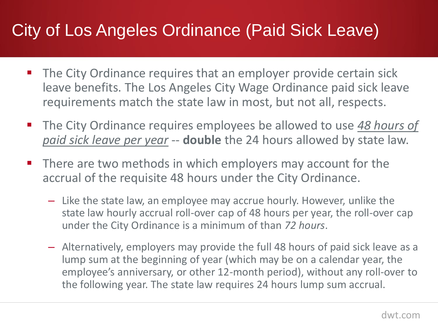## City of Los Angeles Ordinance (Paid Sick Leave)

- The City Ordinance requires that an employer provide certain sick leave benefits. The Los Angeles City Wage Ordinance paid sick leave requirements match the state law in most, but not all, respects.
- The City Ordinance requires employees be allowed to use 48 hours of *paid sick leave per year* -- **double** the 24 hours allowed by state law.
- **There are two methods in which employers may account for the** accrual of the requisite 48 hours under the City Ordinance.
	- Like the state law, an employee may accrue hourly. However, unlike the state law hourly accrual roll-over cap of 48 hours per year, the roll-over cap under the City Ordinance is a minimum of than *72 hours*.
	- Alternatively, employers may provide the full 48 hours of paid sick leave as a lump sum at the beginning of year (which may be on a calendar year, the employee's anniversary, or other 12-month period), without any roll-over to the following year. The state law requires 24 hours lump sum accrual.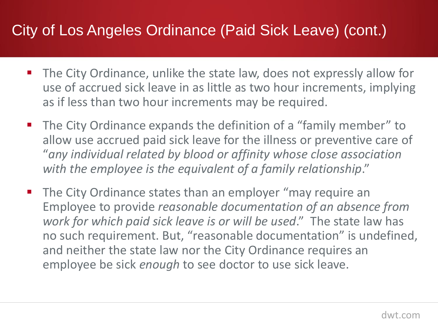#### City of Los Angeles Ordinance (Paid Sick Leave) (cont.)

- The City Ordinance, unlike the state law, does not expressly allow for use of accrued sick leave in as little as two hour increments, implying as if less than two hour increments may be required.
- The City Ordinance expands the definition of a "family member" to allow use accrued paid sick leave for the illness or preventive care of "*any individual related by blood or affinity whose close association with the employee is the equivalent of a family relationship*."
- The City Ordinance states than an employer "may require an Employee to provide *reasonable documentation of an absence from work for which paid sick leave is or will be used*." The state law has no such requirement. But, "reasonable documentation" is undefined, and neither the state law nor the City Ordinance requires an employee be sick *enough* to see doctor to use sick leave.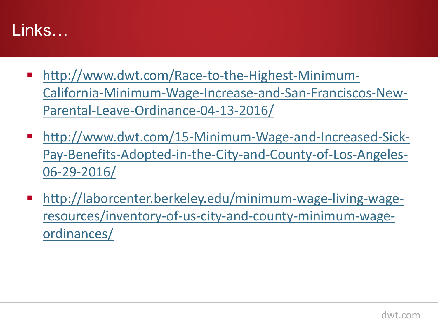#### Links…

- [http://www.dwt.com/Race-to-the-Highest-Minimum-](http://www.dwt.com/Race-to-the-Highest-Minimum-California-Minimum-Wage-Increase-and-San-Franciscos-New-Parental-Leave-Ordinance-04-13-2016/)[California-Minimum-Wage-Increase-and-San-Franciscos-New-](http://www.dwt.com/Race-to-the-Highest-Minimum-California-Minimum-Wage-Increase-and-San-Franciscos-New-Parental-Leave-Ordinance-04-13-2016/)[Parental-Leave-Ordinance-04-13-2016/](http://www.dwt.com/Race-to-the-Highest-Minimum-California-Minimum-Wage-Increase-and-San-Franciscos-New-Parental-Leave-Ordinance-04-13-2016/)
- [http://www.dwt.com/15-Minimum-Wage-and-Increased-Sick-](http://www.dwt.com/15-Minimum-Wage-and-Increased-Sick-Pay-Benefits-Adopted-in-the-City-and-County-of-Los-Angeles-06-29-2016/)[Pay-Benefits-Adopted-in-the-City-and-County-of-Los-Angeles-](http://www.dwt.com/15-Minimum-Wage-and-Increased-Sick-Pay-Benefits-Adopted-in-the-City-and-County-of-Los-Angeles-06-29-2016/)[06-29-2016/](http://www.dwt.com/15-Minimum-Wage-and-Increased-Sick-Pay-Benefits-Adopted-in-the-City-and-County-of-Los-Angeles-06-29-2016/)
- [http://laborcenter.berkeley.edu/minimum-wage-living-wage](http://laborcenter.berkeley.edu/minimum-wage-living-wage-resources/inventory-of-us-city-and-county-minimum-wage-ordinances/)[resources/inventory-of-us-city-and-county-minimum-wage](http://laborcenter.berkeley.edu/minimum-wage-living-wage-resources/inventory-of-us-city-and-county-minimum-wage-ordinances/)[ordinances/](http://laborcenter.berkeley.edu/minimum-wage-living-wage-resources/inventory-of-us-city-and-county-minimum-wage-ordinances/)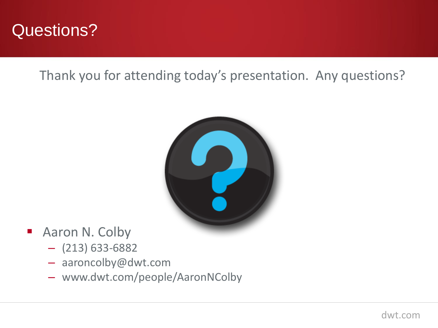

Thank you for attending today's presentation. Any questions?



- **Aaron N. Colby** 
	- $-$  (213) 633-6882
	- aaroncolby@dwt.com
	- www.dwt.com/people/AaronNColby